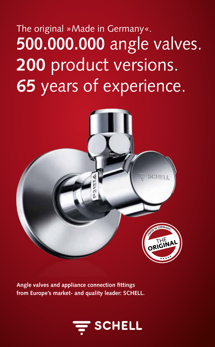## **500.000.000** angle valves. **200** product versions. **65** years of experience. The original »Made in Germany«.



**Angle valves and appliance connection fittings from Europe's market- and quality leader: SCHELL.**

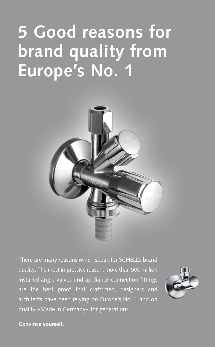# **5 Good reasons for brand quality from Europe's No. 1**



There are many reasons which speak for SCHELL's brand quality. The most impressive reason: more than 500 million installed angle valves und appliance connection fittings are the best proof that craftsmen, designers and architects have been relying on Europe's No. 1 and on quality »Made in Germany« for generations.



#### **Convince yourself.**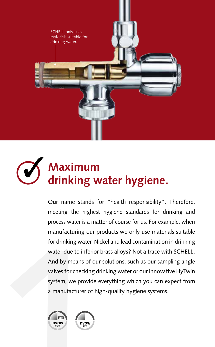

### **Maximum**  $\odot$ **drinking water hygiene.**

for drinking water.<br>
water due to inferi<br>
And by means of c<br>
valves for checking<br>
system, we provid<br>
a manufacturer of<br>
Notary Our name stands for "health responsibility". Therefore, meeting the highest hygiene standards for drinking and process water is a matter of course for us. For example, when manufacturing our products we only use materials suitable for drinking water. Nickel and lead contamination in drinking water due to inferior brass alloys? Not a trace with SCHELL. And by means of our solutions, such as our sampling angle valves for checking drinking water or our innovative HyTwin system, we provide everything which you can expect from a manufacturer of high-quality hygiene systems.



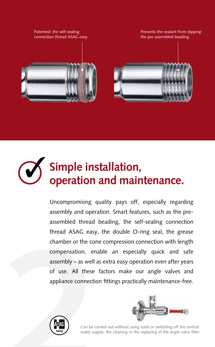Patented: the self-sealing connection thread ASAG easy.







## **Simple installation, operation and maintenance.**

chamber or the componention, ena<br>
assembly – as well a<br>
of use. All these<br>
appliance connectio Uncompromising quality pays off, especially regarding assembly and operation. Smart features, such as the preassembled thread beading, the self-sealing connection thread ASAG easy, the double O-ring seal, the grease chamber or the cone compression connection with length compensation, enable an especially quick and safe assembly – as well as extra easy operation even after years of use. All these factors make our angle valves and appliance connection fittings practically maintenance-free.





Can be carried out without using tools or switching off the central water supply: the cleaning or the replacing of the angle valve filter.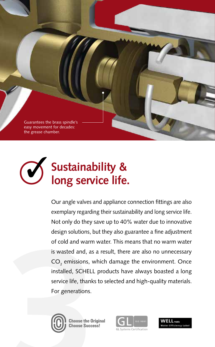Guarantees the brass spindle's easy movement for decades: the grease chamber.



of cold and warm<br>is wasted and, as a<br>CO<sub>2</sub> emissions, wl<br>installed, SCHELL<br>service life, thanks<br>For generations. Our angle valves and appliance connection fittings are also exemplary regarding their sustainability and long service life. Not only do they save up to 40% water due to innovative design solutions, but they also guarantee a fine adjustment of cold and warm water. This means that no warm water is wasted and, as a result, there are also no unnecessary  $\mathsf{CO}_2$  emissions, which damage the environment. Once installed, SCHELL products have always boasted a long service life, thanks to selected and high-quality materials. For generations.





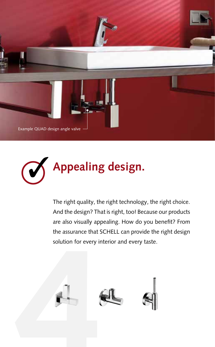



The right quality, the right technology, the right choice. And the design? That is right, too! Because our products are also visually appealing. How do you benefit? From the assurance that SCHELL can provide the right design solution for every interior and every taste.

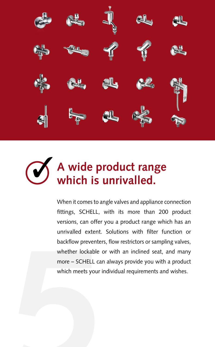

## **A wide product range which is unrivalled.**

backflow preventer<br>whether lockable of<br>more – SCHELL car<br>which meets your i When it comes to angle valves and appliance connection fittings, SCHELL, with its more than 200 product versions, can offer you a product range which has an unrivalled extent. Solutions with filter function or backflow preventers, flow restrictors or sampling valves, whether lockable or with an inclined seat, and many more – SCHELL can always provide you with a product which meets your individual requirements and wishes.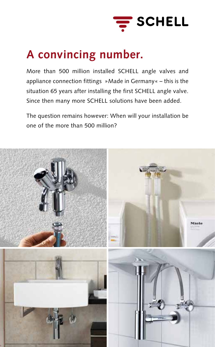

### **A convincing number.**

appliance connection fittings »Made in Germany« – this is the More than 500 million installed SCHELL angle valves and situation 65 years after installing the first SCHELL angle valve. Since then many more SCHELL solutions have been added.

The question remains however: When will your installation be one of the more than 500 million?